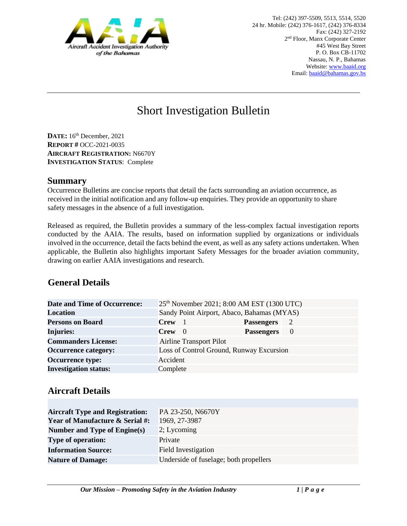

# Short Investigation Bulletin

**DATE:** 16th December, 2021 **REPORT #** OCC-2021-0035 **AIRCRAFT REGISTRATION:** N6670Y **INVESTIGATION STATUS**: Complete

#### **Summary**

Occurrence Bulletins are concise reports that detail the facts surrounding an aviation occurrence, as received in the initial notification and any follow-up enquiries. They provide an opportunity to share safety messages in the absence of a full investigation*.* 

Released as required, the Bulletin provides a summary of the less-complex factual investigation reports conducted by the AAIA. The results, based on information supplied by organizations or individuals involved in the occurrence, detail the facts behind the event, as well as any safety actions undertaken. When applicable, the Bulletin also highlights important Safety Messages for the broader aviation community, drawing on earlier AAIA investigations and research.

# **General Details**

| <b>Date and Time of Occurrence:</b> |                                | 25 <sup>th</sup> November 2021; 8:00 AM EST (1300 UTC) |                |
|-------------------------------------|--------------------------------|--------------------------------------------------------|----------------|
| <b>Location</b>                     |                                | Sandy Point Airport, Abaco, Bahamas (MYAS)             |                |
| <b>Persons on Board</b>             | <b>Crew</b>                    | <b>Passengers</b>                                      | - 2            |
| Injuries:                           | $Crew \quad 0$                 | <b>Passengers</b>                                      | $\overline{0}$ |
| <b>Commanders License:</b>          | <b>Airline Transport Pilot</b> |                                                        |                |
| <b>Occurrence category:</b>         |                                | Loss of Control Ground, Runway Excursion               |                |
| <b>Occurrence type:</b>             | Accident                       |                                                        |                |
| <b>Investigation status:</b>        | Complete                       |                                                        |                |

## **Aircraft Details**

| <b>Aircraft Type and Registration:</b>     | PA 23-250, N6670Y                      |
|--------------------------------------------|----------------------------------------|
| <b>Year of Manufacture &amp; Serial #:</b> | 1969, 27-3987                          |
| Number and Type of Engine(s)               | 2; Lycoming                            |
| <b>Type of operation:</b>                  | Private                                |
| <b>Information Source:</b>                 | Field Investigation                    |
| <b>Nature of Damage:</b>                   | Underside of fuselage; both propellers |